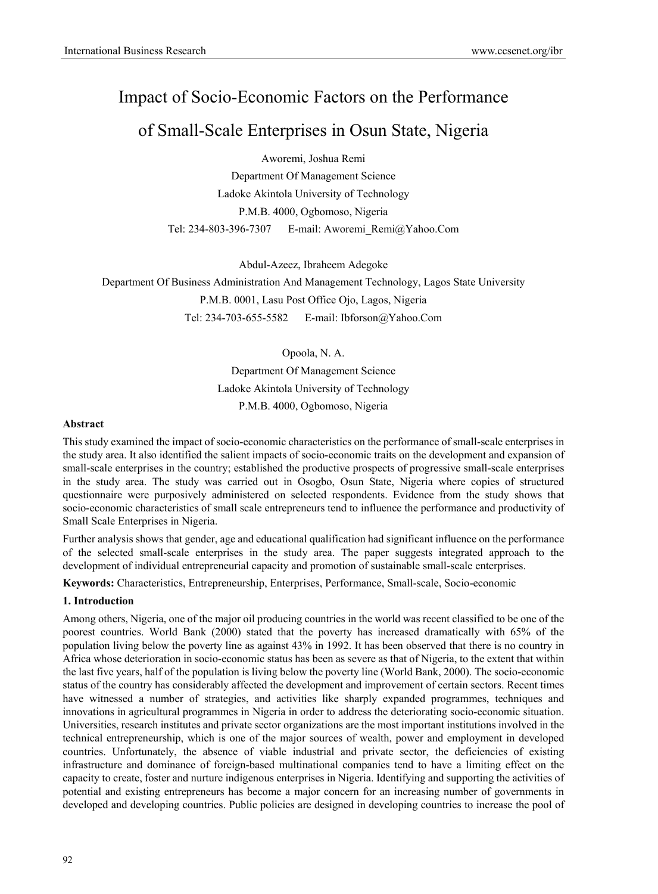# Impact of Socio-Economic Factors on the Performance

# of Small-Scale Enterprises in Osun State, Nigeria

Aworemi, Joshua Remi

Department Of Management Science Ladoke Akintola University of Technology P.M.B. 4000, Ogbomoso, Nigeria Tel: 234-803-396-7307 E-mail: Aworemi\_Remi@Yahoo.Com

Abdul-Azeez, Ibraheem Adegoke Department Of Business Administration And Management Technology, Lagos State University P.M.B. 0001, Lasu Post Office Ojo, Lagos, Nigeria Tel: 234-703-655-5582 E-mail: Ibforson@Yahoo.Com

Opoola, N. A.

Department Of Management Science Ladoke Akintola University of Technology P.M.B. 4000, Ogbomoso, Nigeria

# **Abstract**

This study examined the impact of socio-economic characteristics on the performance of small-scale enterprises in the study area. It also identified the salient impacts of socio-economic traits on the development and expansion of small-scale enterprises in the country; established the productive prospects of progressive small-scale enterprises in the study area. The study was carried out in Osogbo, Osun State, Nigeria where copies of structured questionnaire were purposively administered on selected respondents. Evidence from the study shows that socio-economic characteristics of small scale entrepreneurs tend to influence the performance and productivity of Small Scale Enterprises in Nigeria.

Further analysis shows that gender, age and educational qualification had significant influence on the performance of the selected small-scale enterprises in the study area. The paper suggests integrated approach to the development of individual entrepreneurial capacity and promotion of sustainable small-scale enterprises.

**Keywords:** Characteristics, Entrepreneurship, Enterprises, Performance, Small-scale, Socio-economic

# **1. Introduction**

Among others, Nigeria, one of the major oil producing countries in the world was recent classified to be one of the poorest countries. World Bank (2000) stated that the poverty has increased dramatically with 65% of the population living below the poverty line as against 43% in 1992. It has been observed that there is no country in Africa whose deterioration in socio-economic status has been as severe as that of Nigeria, to the extent that within the last five years, half of the population is living below the poverty line (World Bank, 2000). The socio-economic status of the country has considerably affected the development and improvement of certain sectors. Recent times have witnessed a number of strategies, and activities like sharply expanded programmes, techniques and innovations in agricultural programmes in Nigeria in order to address the deteriorating socio-economic situation. Universities, research institutes and private sector organizations are the most important institutions involved in the technical entrepreneurship, which is one of the major sources of wealth, power and employment in developed countries. Unfortunately, the absence of viable industrial and private sector, the deficiencies of existing infrastructure and dominance of foreign-based multinational companies tend to have a limiting effect on the capacity to create, foster and nurture indigenous enterprises in Nigeria. Identifying and supporting the activities of potential and existing entrepreneurs has become a major concern for an increasing number of governments in developed and developing countries. Public policies are designed in developing countries to increase the pool of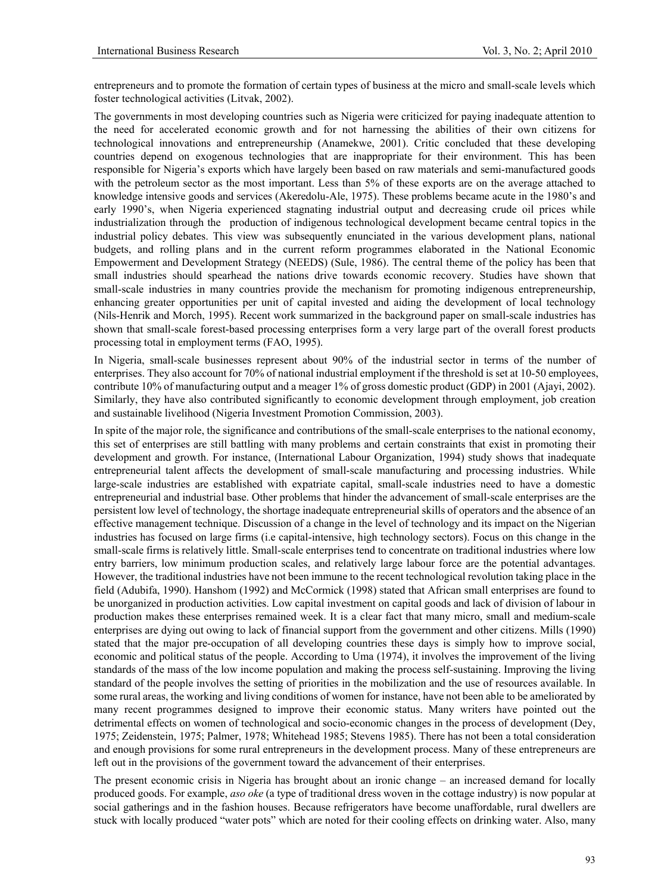entrepreneurs and to promote the formation of certain types of business at the micro and small-scale levels which foster technological activities (Litvak, 2002).

The governments in most developing countries such as Nigeria were criticized for paying inadequate attention to the need for accelerated economic growth and for not harnessing the abilities of their own citizens for technological innovations and entrepreneurship (Anamekwe, 2001). Critic concluded that these developing countries depend on exogenous technologies that are inappropriate for their environment. This has been responsible for Nigeria's exports which have largely been based on raw materials and semi-manufactured goods with the petroleum sector as the most important. Less than 5% of these exports are on the average attached to knowledge intensive goods and services (Akeredolu-Ale, 1975). These problems became acute in the 1980's and early 1990's, when Nigeria experienced stagnating industrial output and decreasing crude oil prices while industrialization through the production of indigenous technological development became central topics in the industrial policy debates. This view was subsequently enunciated in the various development plans, national budgets, and rolling plans and in the current reform programmes elaborated in the National Economic Empowerment and Development Strategy (NEEDS) (Sule, 1986). The central theme of the policy has been that small industries should spearhead the nations drive towards economic recovery. Studies have shown that small-scale industries in many countries provide the mechanism for promoting indigenous entrepreneurship, enhancing greater opportunities per unit of capital invested and aiding the development of local technology (Nils-Henrik and Morch, 1995). Recent work summarized in the background paper on small-scale industries has shown that small-scale forest-based processing enterprises form a very large part of the overall forest products processing total in employment terms (FAO, 1995).

In Nigeria, small-scale businesses represent about 90% of the industrial sector in terms of the number of enterprises. They also account for 70% of national industrial employment if the threshold is set at 10-50 employees, contribute 10% of manufacturing output and a meager 1% of gross domestic product (GDP) in 2001 (Ajayi, 2002). Similarly, they have also contributed significantly to economic development through employment, job creation and sustainable livelihood (Nigeria Investment Promotion Commission, 2003).

In spite of the major role, the significance and contributions of the small-scale enterprises to the national economy, this set of enterprises are still battling with many problems and certain constraints that exist in promoting their development and growth. For instance, (International Labour Organization, 1994) study shows that inadequate entrepreneurial talent affects the development of small-scale manufacturing and processing industries. While large-scale industries are established with expatriate capital, small-scale industries need to have a domestic entrepreneurial and industrial base. Other problems that hinder the advancement of small-scale enterprises are the persistent low level of technology, the shortage inadequate entrepreneurial skills of operators and the absence of an effective management technique. Discussion of a change in the level of technology and its impact on the Nigerian industries has focused on large firms (i.e capital-intensive, high technology sectors). Focus on this change in the small-scale firms is relatively little. Small-scale enterprises tend to concentrate on traditional industries where low entry barriers, low minimum production scales, and relatively large labour force are the potential advantages. However, the traditional industries have not been immune to the recent technological revolution taking place in the field (Adubifa, 1990). Hanshom (1992) and McCormick (1998) stated that African small enterprises are found to be unorganized in production activities. Low capital investment on capital goods and lack of division of labour in production makes these enterprises remained week. It is a clear fact that many micro, small and medium-scale enterprises are dying out owing to lack of financial support from the government and other citizens. Mills (1990) stated that the major pre-occupation of all developing countries these days is simply how to improve social, economic and political status of the people. According to Uma (1974), it involves the improvement of the living standards of the mass of the low income population and making the process self-sustaining. Improving the living standard of the people involves the setting of priorities in the mobilization and the use of resources available. In some rural areas, the working and living conditions of women for instance, have not been able to be ameliorated by many recent programmes designed to improve their economic status. Many writers have pointed out the detrimental effects on women of technological and socio-economic changes in the process of development (Dey, 1975; Zeidenstein, 1975; Palmer, 1978; Whitehead 1985; Stevens 1985). There has not been a total consideration and enough provisions for some rural entrepreneurs in the development process. Many of these entrepreneurs are left out in the provisions of the government toward the advancement of their enterprises.

The present economic crisis in Nigeria has brought about an ironic change – an increased demand for locally produced goods. For example, *aso oke* (a type of traditional dress woven in the cottage industry) is now popular at social gatherings and in the fashion houses. Because refrigerators have become unaffordable, rural dwellers are stuck with locally produced "water pots" which are noted for their cooling effects on drinking water. Also, many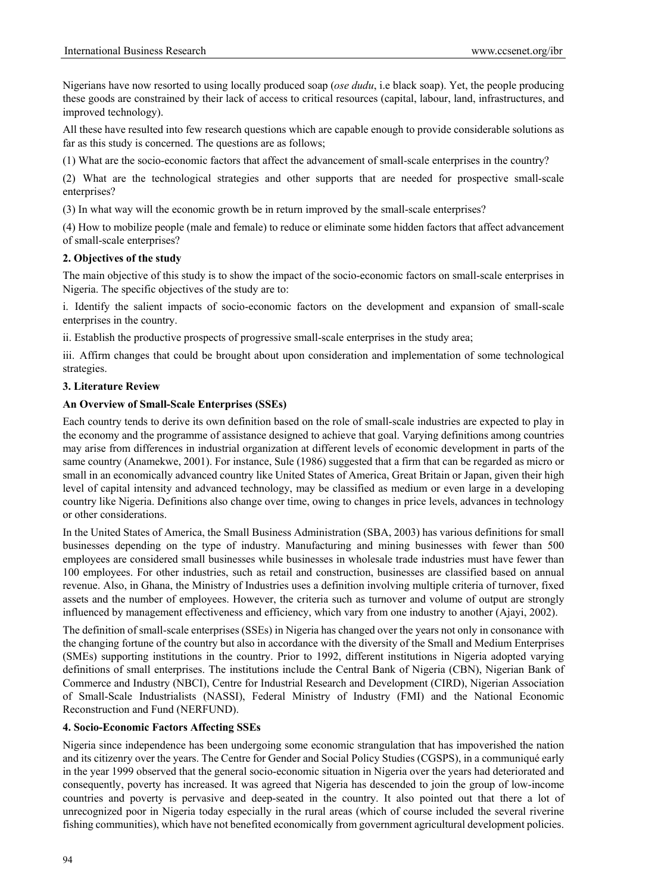Nigerians have now resorted to using locally produced soap (*ose dudu*, i.e black soap). Yet, the people producing these goods are constrained by their lack of access to critical resources (capital, labour, land, infrastructures, and improved technology).

All these have resulted into few research questions which are capable enough to provide considerable solutions as far as this study is concerned. The questions are as follows;

(1) What are the socio-economic factors that affect the advancement of small-scale enterprises in the country?

(2) What are the technological strategies and other supports that are needed for prospective small-scale enterprises?

(3) In what way will the economic growth be in return improved by the small-scale enterprises?

(4) How to mobilize people (male and female) to reduce or eliminate some hidden factors that affect advancement of small-scale enterprises?

#### **2. Objectives of the study**

The main objective of this study is to show the impact of the socio-economic factors on small-scale enterprises in Nigeria. The specific objectives of the study are to:

i. Identify the salient impacts of socio-economic factors on the development and expansion of small-scale enterprises in the country.

ii. Establish the productive prospects of progressive small-scale enterprises in the study area;

iii. Affirm changes that could be brought about upon consideration and implementation of some technological strategies.

#### **3. Literature Review**

#### **An Overview of Small-Scale Enterprises (SSEs)**

Each country tends to derive its own definition based on the role of small-scale industries are expected to play in the economy and the programme of assistance designed to achieve that goal. Varying definitions among countries may arise from differences in industrial organization at different levels of economic development in parts of the same country (Anamekwe, 2001). For instance, Sule (1986) suggested that a firm that can be regarded as micro or small in an economically advanced country like United States of America, Great Britain or Japan, given their high level of capital intensity and advanced technology, may be classified as medium or even large in a developing country like Nigeria. Definitions also change over time, owing to changes in price levels, advances in technology or other considerations.

In the United States of America, the Small Business Administration (SBA, 2003) has various definitions for small businesses depending on the type of industry. Manufacturing and mining businesses with fewer than 500 employees are considered small businesses while businesses in wholesale trade industries must have fewer than 100 employees. For other industries, such as retail and construction, businesses are classified based on annual revenue. Also, in Ghana, the Ministry of Industries uses a definition involving multiple criteria of turnover, fixed assets and the number of employees. However, the criteria such as turnover and volume of output are strongly influenced by management effectiveness and efficiency, which vary from one industry to another (Ajayi, 2002).

The definition of small-scale enterprises (SSEs) in Nigeria has changed over the years not only in consonance with the changing fortune of the country but also in accordance with the diversity of the Small and Medium Enterprises (SMEs) supporting institutions in the country. Prior to 1992, different institutions in Nigeria adopted varying definitions of small enterprises. The institutions include the Central Bank of Nigeria (CBN), Nigerian Bank of Commerce and Industry (NBCI), Centre for Industrial Research and Development (CIRD), Nigerian Association of Small-Scale Industrialists (NASSI), Federal Ministry of Industry (FMI) and the National Economic Reconstruction and Fund (NERFUND).

# **4. Socio-Economic Factors Affecting SSEs**

Nigeria since independence has been undergoing some economic strangulation that has impoverished the nation and its citizenry over the years. The Centre for Gender and Social Policy Studies (CGSPS), in a communiqué early in the year 1999 observed that the general socio-economic situation in Nigeria over the years had deteriorated and consequently, poverty has increased. It was agreed that Nigeria has descended to join the group of low-income countries and poverty is pervasive and deep-seated in the country. It also pointed out that there a lot of unrecognized poor in Nigeria today especially in the rural areas (which of course included the several riverine fishing communities), which have not benefited economically from government agricultural development policies.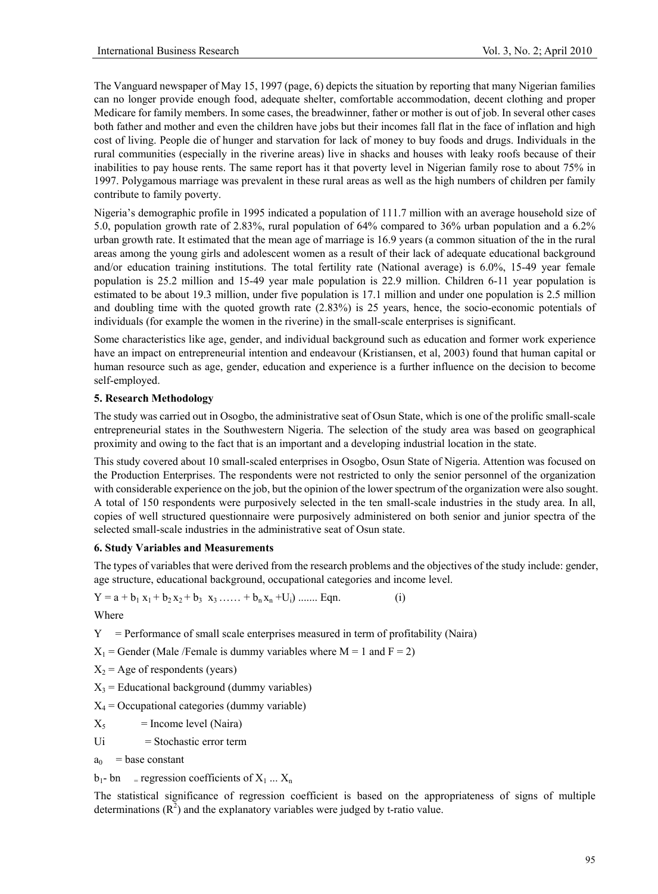The Vanguard newspaper of May 15, 1997 (page, 6) depicts the situation by reporting that many Nigerian families can no longer provide enough food, adequate shelter, comfortable accommodation, decent clothing and proper Medicare for family members. In some cases, the breadwinner, father or mother is out of job. In several other cases both father and mother and even the children have jobs but their incomes fall flat in the face of inflation and high cost of living. People die of hunger and starvation for lack of money to buy foods and drugs. Individuals in the rural communities (especially in the riverine areas) live in shacks and houses with leaky roofs because of their inabilities to pay house rents. The same report has it that poverty level in Nigerian family rose to about 75% in 1997. Polygamous marriage was prevalent in these rural areas as well as the high numbers of children per family contribute to family poverty.

Nigeria's demographic profile in 1995 indicated a population of 111.7 million with an average household size of 5.0, population growth rate of 2.83%, rural population of 64% compared to 36% urban population and a 6.2% urban growth rate. It estimated that the mean age of marriage is 16.9 years (a common situation of the in the rural areas among the young girls and adolescent women as a result of their lack of adequate educational background and/or education training institutions. The total fertility rate (National average) is 6.0%, 15-49 year female population is 25.2 million and 15-49 year male population is 22.9 million. Children 6-11 year population is estimated to be about 19.3 million, under five population is 17.1 million and under one population is 2.5 million and doubling time with the quoted growth rate (2.83%) is 25 years, hence, the socio-economic potentials of individuals (for example the women in the riverine) in the small-scale enterprises is significant.

Some characteristics like age, gender, and individual background such as education and former work experience have an impact on entrepreneurial intention and endeavour (Kristiansen, et al, 2003) found that human capital or human resource such as age, gender, education and experience is a further influence on the decision to become self-employed.

#### **5. Research Methodology**

The study was carried out in Osogbo, the administrative seat of Osun State, which is one of the prolific small-scale entrepreneurial states in the Southwestern Nigeria. The selection of the study area was based on geographical proximity and owing to the fact that is an important and a developing industrial location in the state.

This study covered about 10 small-scaled enterprises in Osogbo, Osun State of Nigeria. Attention was focused on the Production Enterprises. The respondents were not restricted to only the senior personnel of the organization with considerable experience on the job, but the opinion of the lower spectrum of the organization were also sought. A total of 150 respondents were purposively selected in the ten small-scale industries in the study area. In all, copies of well structured questionnaire were purposively administered on both senior and junior spectra of the selected small-scale industries in the administrative seat of Osun state.

#### **6. Study Variables and Measurements**

The types of variables that were derived from the research problems and the objectives of the study include: gender, age structure, educational background, occupational categories and income level.

 $Y = a + b_1 x_1 + b_2 x_2 + b_3 x_3 \dots + b_n x_n + U_i$  ....... Eqn. (i)

Where

 $Y =$  Performance of small scale enterprises measured in term of profitability (Naira)

 $X_1$  = Gender (Male /Female is dummy variables where M = 1 and F = 2)

 $X_2$  = Age of respondents (years)

 $X_3$  = Educational background (dummy variables)

- $X_4$  = Occupational categories (dummy variable)
- $X_5$  = Income level (Naira)
- Ui = Stochastic error term

 $a_0$  = base constant

 $b_1$ - bn = regression coefficients of  $X_1 ... X_n$ 

The statistical significance of regression coefficient is based on the appropriateness of signs of multiple determinations  $(R^2)$  and the explanatory variables were judged by t-ratio value.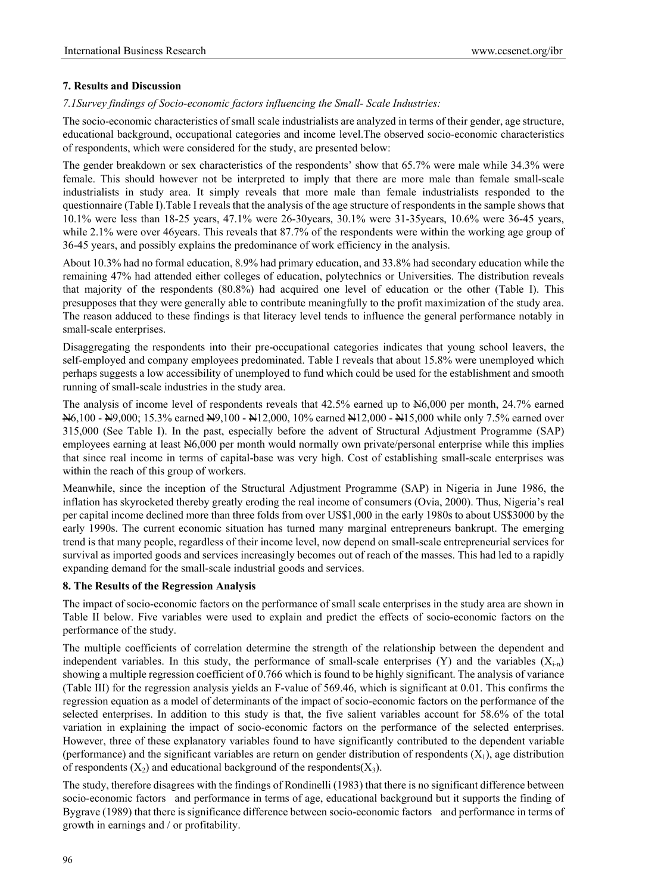#### **7. Results and Discussion**

*7.1Survey findings of Socio-economic factors influencing the Small- Scale Industries:* 

The socio-economic characteristics of small scale industrialists are analyzed in terms of their gender, age structure, educational background, occupational categories and income level.The observed socio-economic characteristics of respondents, which were considered for the study, are presented below:

The gender breakdown or sex characteristics of the respondents' show that 65.7% were male while 34.3% were female. This should however not be interpreted to imply that there are more male than female small-scale industrialists in study area. It simply reveals that more male than female industrialists responded to the questionnaire (Table I).Table I reveals that the analysis of the age structure of respondents in the sample shows that 10.1% were less than 18-25 years, 47.1% were 26-30years, 30.1% were 31-35years, 10.6% were 36-45 years, while 2.1% were over 46years. This reveals that 87.7% of the respondents were within the working age group of 36-45 years, and possibly explains the predominance of work efficiency in the analysis.

About 10.3% had no formal education, 8.9% had primary education, and 33.8% had secondary education while the remaining 47% had attended either colleges of education, polytechnics or Universities. The distribution reveals that majority of the respondents (80.8%) had acquired one level of education or the other (Table I). This presupposes that they were generally able to contribute meaningfully to the profit maximization of the study area. The reason adduced to these findings is that literacy level tends to influence the general performance notably in small-scale enterprises.

Disaggregating the respondents into their pre-occupational categories indicates that young school leavers, the self-employed and company employees predominated. Table I reveals that about 15.8% were unemployed which perhaps suggests a low accessibility of unemployed to fund which could be used for the establishment and smooth running of small-scale industries in the study area.

The analysis of income level of respondents reveals that  $42.5\%$  earned up to  $\frac{1}{2}6,000$  per month, 24.7% earned N6,100 - N9,000; 15.3% earned N9,100 - N12,000, 10% earned N12,000 - N15,000 while only 7.5% earned over 315,000 (See Table I). In the past, especially before the advent of Structural Adjustment Programme (SAP) employees earning at least N6,000 per month would normally own private/personal enterprise while this implies that since real income in terms of capital-base was very high. Cost of establishing small-scale enterprises was within the reach of this group of workers.

Meanwhile, since the inception of the Structural Adjustment Programme (SAP) in Nigeria in June 1986, the inflation has skyrocketed thereby greatly eroding the real income of consumers (Ovia, 2000). Thus, Nigeria's real per capital income declined more than three folds from over US\$1,000 in the early 1980s to about US\$3000 by the early 1990s. The current economic situation has turned many marginal entrepreneurs bankrupt. The emerging trend is that many people, regardless of their income level, now depend on small-scale entrepreneurial services for survival as imported goods and services increasingly becomes out of reach of the masses. This had led to a rapidly expanding demand for the small-scale industrial goods and services.

#### **8. The Results of the Regression Analysis**

The impact of socio-economic factors on the performance of small scale enterprises in the study area are shown in Table II below. Five variables were used to explain and predict the effects of socio-economic factors on the performance of the study.

The multiple coefficients of correlation determine the strength of the relationship between the dependent and independent variables. In this study, the performance of small-scale enterprises (Y) and the variables  $(X_{i-n})$ showing a multiple regression coefficient of 0.766 which is found to be highly significant. The analysis of variance (Table III) for the regression analysis yields an F-value of 569.46, which is significant at 0.01. This confirms the regression equation as a model of determinants of the impact of socio-economic factors on the performance of the selected enterprises. In addition to this study is that, the five salient variables account for 58.6% of the total variation in explaining the impact of socio-economic factors on the performance of the selected enterprises. However, three of these explanatory variables found to have significantly contributed to the dependent variable (performance) and the significant variables are return on gender distribution of respondents  $(X_1)$ , age distribution of respondents  $(X_2)$  and educational background of the respondents  $(X_3)$ .

The study, therefore disagrees with the findings of Rondinelli (1983) that there is no significant difference between socio-economic factors and performance in terms of age, educational background but it supports the finding of Bygrave (1989) that there is significance difference between socio-economic factors and performance in terms of growth in earnings and / or profitability.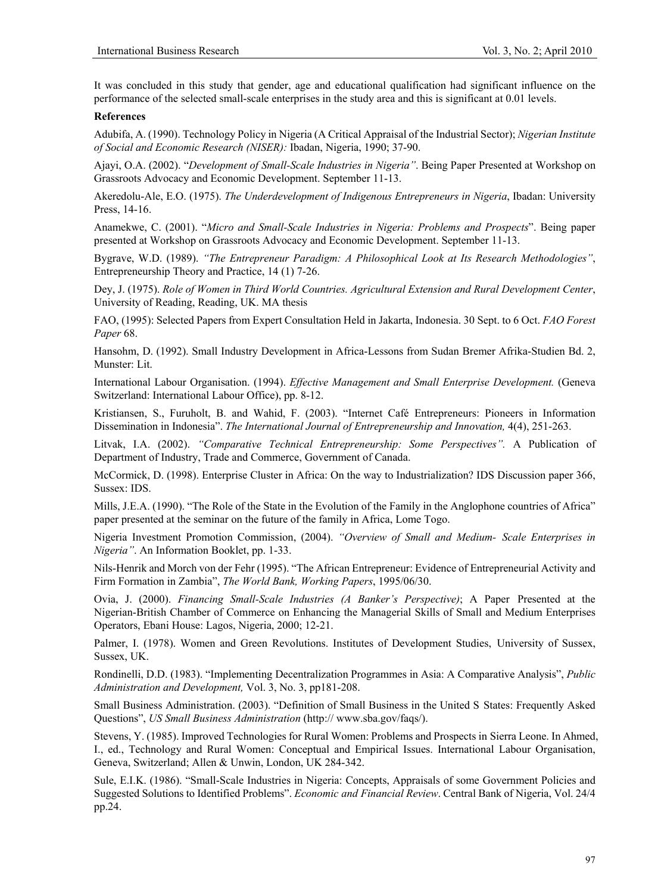It was concluded in this study that gender, age and educational qualification had significant influence on the performance of the selected small-scale enterprises in the study area and this is significant at 0.01 levels.

#### **References**

Adubifa, A. (1990). Technology Policy in Nigeria (A Critical Appraisal of the Industrial Sector); *Nigerian Institute of Social and Economic Research (NISER):* Ibadan, Nigeria, 1990; 37-90.

Ajayi, O.A. (2002). "*Development of Small-Scale Industries in Nigeria"*. Being Paper Presented at Workshop on Grassroots Advocacy and Economic Development. September 11-13.

Akeredolu-Ale, E.O. (1975). *The Underdevelopment of Indigenous Entrepreneurs in Nigeria*, Ibadan: University Press, 14-16.

Anamekwe, C. (2001). "*Micro and Small-Scale Industries in Nigeria: Problems and Prospects*". Being paper presented at Workshop on Grassroots Advocacy and Economic Development. September 11-13.

Bygrave, W.D. (1989). *"The Entrepreneur Paradigm: A Philosophical Look at Its Research Methodologies"*, Entrepreneurship Theory and Practice, 14 (1) 7-26.

Dey, J. (1975). *Role of Women in Third World Countries. Agricultural Extension and Rural Development Center*, University of Reading, Reading, UK. MA thesis

FAO, (1995): Selected Papers from Expert Consultation Held in Jakarta, Indonesia. 30 Sept. to 6 Oct. *FAO Forest Paper* 68.

Hansohm, D. (1992). Small Industry Development in Africa-Lessons from Sudan Bremer Afrika-Studien Bd. 2, Munster: Lit.

International Labour Organisation. (1994). *Effective Management and Small Enterprise Development.* (Geneva Switzerland: International Labour Office), pp. 8-12.

Kristiansen, S., Furuholt, B. and Wahid, F. (2003). "Internet Café Entrepreneurs: Pioneers in Information Dissemination in Indonesia". *The International Journal of Entrepreneurship and Innovation,* 4(4), 251-263.

Litvak, I.A. (2002). *"Comparative Technical Entrepreneurship: Some Perspectives".* A Publication of Department of Industry, Trade and Commerce, Government of Canada.

McCormick, D. (1998). Enterprise Cluster in Africa: On the way to Industrialization? IDS Discussion paper 366, Sussex: IDS.

Mills, J.E.A. (1990). "The Role of the State in the Evolution of the Family in the Anglophone countries of Africa" paper presented at the seminar on the future of the family in Africa, Lome Togo.

Nigeria Investment Promotion Commission, (2004). *"Overview of Small and Medium- Scale Enterprises in Nigeria"*. An Information Booklet, pp. 1-33.

Nils-Henrik and Morch von der Fehr (1995). "The African Entrepreneur: Evidence of Entrepreneurial Activity and Firm Formation in Zambia", *The World Bank, Working Papers*, 1995/06/30.

Ovia, J. (2000). *Financing Small-Scale Industries (A Banker's Perspective)*; A Paper Presented at the Nigerian-British Chamber of Commerce on Enhancing the Managerial Skills of Small and Medium Enterprises Operators, Ebani House: Lagos, Nigeria, 2000; 12-21.

Palmer, I. (1978). Women and Green Revolutions. Institutes of Development Studies, University of Sussex, Sussex, UK.

Rondinelli, D.D. (1983). "Implementing Decentralization Programmes in Asia: A Comparative Analysis", *Public Administration and Development,* Vol. 3, No. 3, pp181-208.

Small Business Administration. (2003). "Definition of Small Business in the United S States: Frequently Asked Questions", *US Small Business Administration* (http:// www.sba.gov/faqs/).

Stevens, Y. (1985). Improved Technologies for Rural Women: Problems and Prospects in Sierra Leone. In Ahmed, I., ed., Technology and Rural Women: Conceptual and Empirical Issues. International Labour Organisation, Geneva, Switzerland; Allen & Unwin, London, UK 284-342.

Sule, E.I.K. (1986). "Small-Scale Industries in Nigeria: Concepts, Appraisals of some Government Policies and Suggested Solutions to Identified Problems". *Economic and Financial Review*. Central Bank of Nigeria, Vol. 24/4 pp.24.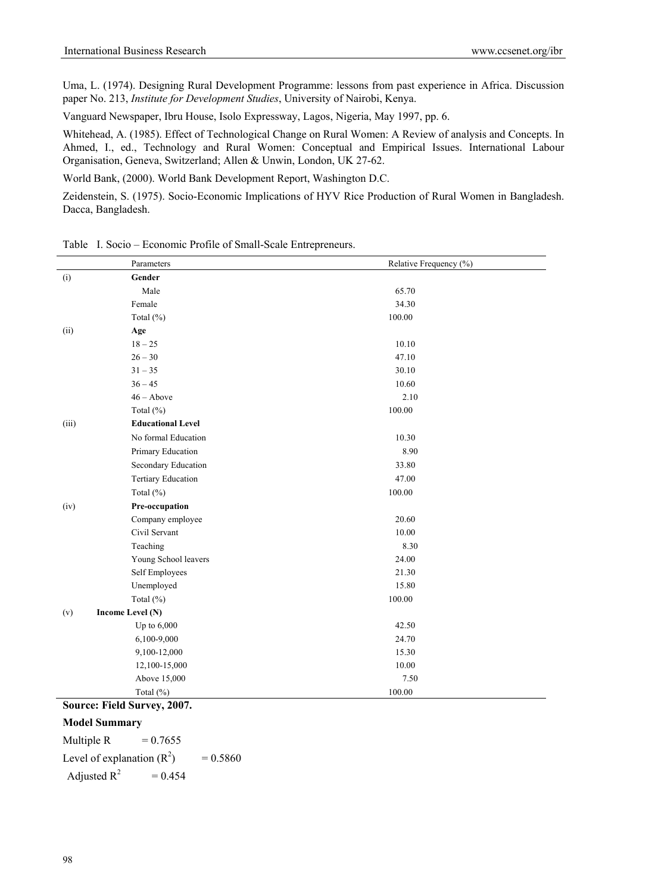Uma, L. (1974). Designing Rural Development Programme: lessons from past experience in Africa. Discussion paper No. 213, *Institute for Development Studies*, University of Nairobi, Kenya.

Vanguard Newspaper, Ibru House, Isolo Expressway, Lagos, Nigeria, May 1997, pp. 6.

Whitehead, A. (1985). Effect of Technological Change on Rural Women: A Review of analysis and Concepts. In Ahmed, I., ed., Technology and Rural Women: Conceptual and Empirical Issues. International Labour Organisation, Geneva, Switzerland; Allen & Unwin, London, UK 27-62.

World Bank, (2000). World Bank Development Report, Washington D.C.

Zeidenstein, S. (1975). Socio-Economic Implications of HYV Rice Production of Rural Women in Bangladesh. Dacca, Bangladesh.

|       | Parameters                | Relative Frequency (%) |
|-------|---------------------------|------------------------|
| (i)   | Gender                    |                        |
|       | Male                      | 65.70                  |
|       | Female                    | 34.30                  |
|       | Total $(\%)$              | 100.00                 |
| (ii)  | Age                       |                        |
|       | $18 - 25$                 | 10.10                  |
|       | $26 - 30$                 | 47.10                  |
|       | $31 - 35$                 | 30.10                  |
|       | $36 - 45$                 | 10.60                  |
|       | $46 - Above$              | 2.10                   |
|       | Total $(\%)$              | 100.00                 |
| (iii) | <b>Educational Level</b>  |                        |
|       | No formal Education       | 10.30                  |
|       | Primary Education         | 8.90                   |
|       | Secondary Education       | 33.80                  |
|       | <b>Tertiary Education</b> | 47.00                  |
|       | Total $(\%)$              | 100.00                 |
| (iv)  | Pre-occupation            |                        |
|       | Company employee          | 20.60                  |
|       | Civil Servant             | 10.00                  |
|       | Teaching                  | 8.30                   |
|       | Young School leavers      | 24.00                  |
|       | Self Employees            | 21.30                  |
|       | Unemployed                | 15.80                  |
|       | Total (%)                 | 100.00                 |
| (v)   | Income Level (N)          |                        |
|       | Up to 6,000               | 42.50                  |
|       | 6,100-9,000               | 24.70                  |
|       | 9,100-12,000              | 15.30                  |
|       | 12,100-15,000             | 10.00                  |
|       | Above 15,000              | 7.50                   |
|       | Total (%)                 | 100.00                 |

Table I. Socio – Economic Profile of Small-Scale Entrepreneurs.

**Source: Field Survey, 2007.** 

# **Model Summary**

Multiple R  $= 0.7655$ Level of explanation  $(R^2)$  $= 0.5860$ Adjusted  $R^2$  $= 0.454$